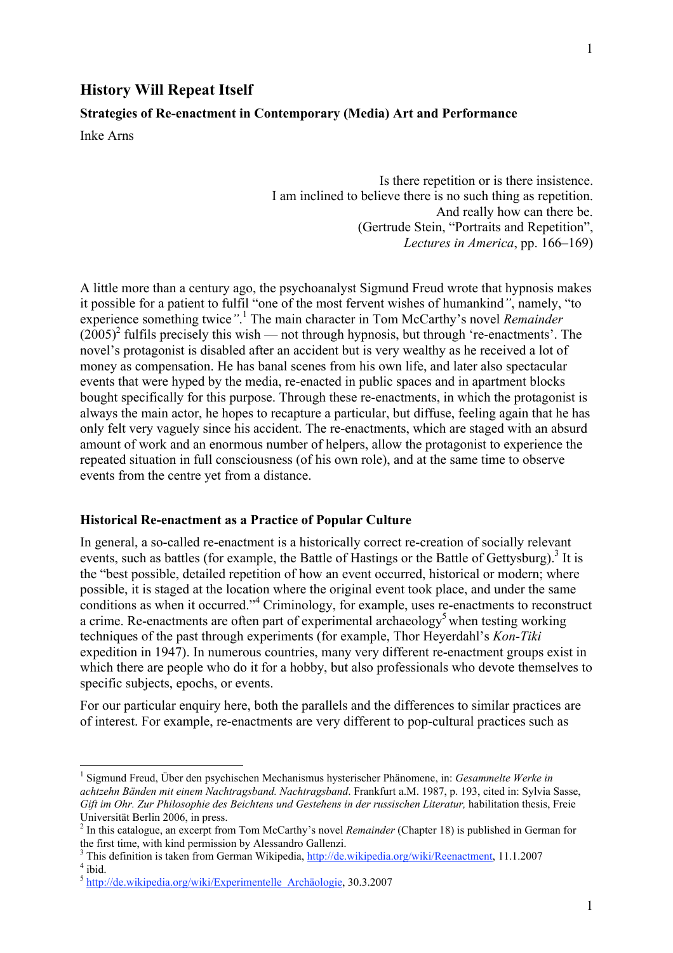## **Strategies of Re-enactment in Contemporary (Media) Art and Performance**

Inke Arns

Is there repetition or is there insistence. I am inclined to believe there is no such thing as repetition. And really how can there be. (Gertrude Stein, "Portraits and Repetition", *Lectures in America*, pp. 166–169)

A little more than a century ago, the psychoanalyst Sigmund Freud wrote that hypnosis makes it possible for a patient to fulfil "one of the most fervent wishes of humankind*"*, namely, "to experience something twice<sup>".1</sup> The main character in Tom McCarthy's novel *Remainder*  $(2005)^2$  fulfils precisely this wish — not through hypnosis, but through 're-enactments'. The novel's protagonist is disabled after an accident but is very wealthy as he received a lot of money as compensation. He has banal scenes from his own life, and later also spectacular events that were hyped by the media, re-enacted in public spaces and in apartment blocks bought specifically for this purpose. Through these re-enactments, in which the protagonist is always the main actor, he hopes to recapture a particular, but diffuse, feeling again that he has only felt very vaguely since his accident. The re-enactments, which are staged with an absurd amount of work and an enormous number of helpers, allow the protagonist to experience the repeated situation in full consciousness (of his own role), and at the same time to observe events from the centre yet from a distance.

#### **Historical Re-enactment as a Practice of Popular Culture**

In general, a so-called re-enactment is a historically correct re-creation of socially relevant events, such as battles (for example, the Battle of Hastings or the Battle of Gettysburg).<sup>3</sup> It is the "best possible, detailed repetition of how an event occurred, historical or modern; where possible, it is staged at the location where the original event took place, and under the same conditions as when it occurred."<sup>4</sup> Criminology, for example, uses re-enactments to reconstruct a crime. Re-enactments are often part of experimental archaeology<sup>5</sup> when testing working techniques of the past through experiments (for example, Thor Heyerdahl's *Kon-Tiki* expedition in 1947). In numerous countries, many very different re-enactment groups exist in which there are people who do it for a hobby, but also professionals who devote themselves to specific subjects, epochs, or events.

For our particular enquiry here, both the parallels and the differences to similar practices are of interest. For example, re-enactments are very different to pop-cultural practices such as

 $\frac{1}{1}$  Sigmund Freud, Über den psychischen Mechanismus hysterischer Phänomene, in: *Gesammelte Werke in achtzehn Bänden mit einem Nachtragsband. Nachtragsband*. Frankfurt a.M. 1987, p. 193, cited in: Sylvia Sasse, *Gift im Ohr. Zur Philosophie des Beichtens und Gestehens in der russischen Literatur,* habilitation thesis, Freie Universität Berlin 2006, in press.

<sup>2</sup> In this catalogue, an excerpt from Tom McCarthy's novel *Remainder* (Chapter 18) is published in German for the first time, with kind permission by Alessandro Gallenzi.

<sup>&</sup>lt;sup>3</sup> This definition is taken from German Wikipedia,  $\frac{http://de.wikipedia.org/wiki/Reenactment}{http://de.wikipedia.org/wiki/Reenactment, 11.1.2007}$  $4$  ibid.

<sup>5</sup> http://de.wikipedia.org/wiki/Experimentelle\_Archäologie, 30.3.2007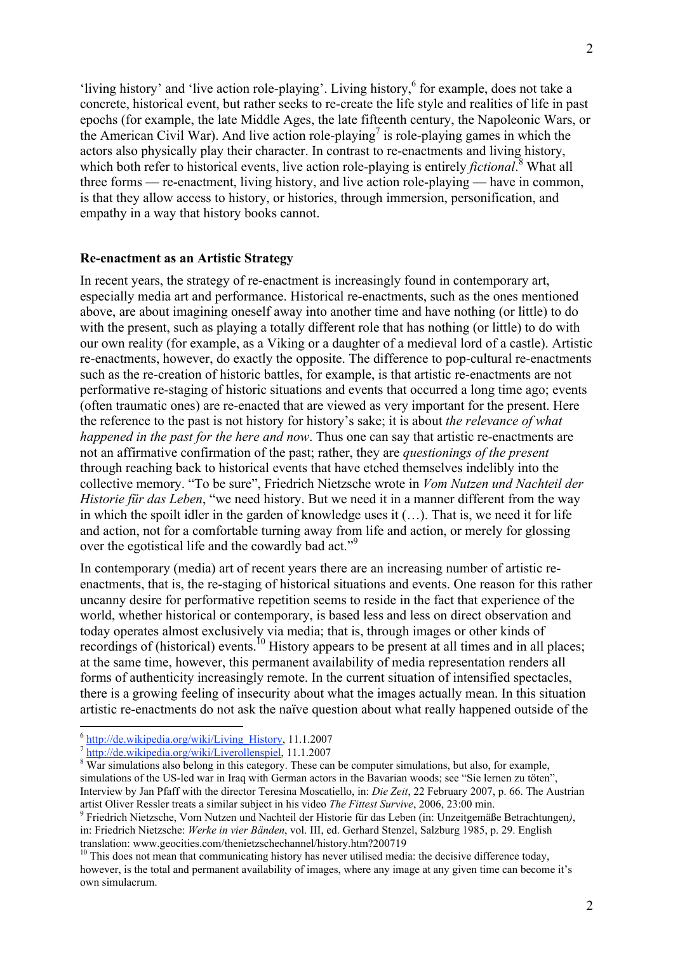'living history' and 'live action role-playing'. Living history, for example, does not take a concrete, historical event, but rather seeks to re-create the life style and realities of life in past epochs (for example, the late Middle Ages, the late fifteenth century, the Napoleonic Wars, or the American Civil War). And live action role-playing<sup>7</sup> is role-playing games in which the actors also physically play their character. In contrast to re-enactments and living history, which both refer to historical events, live action role-playing is entirely *fictional*.<sup>8</sup> What all three forms — re-enactment, living history, and live action role-playing — have in common, is that they allow access to history, or histories, through immersion, personification, and empathy in a way that history books cannot.

#### **Re-enactment as an Artistic Strategy**

In recent years, the strategy of re-enactment is increasingly found in contemporary art, especially media art and performance. Historical re-enactments, such as the ones mentioned above, are about imagining oneself away into another time and have nothing (or little) to do with the present, such as playing a totally different role that has nothing (or little) to do with our own reality (for example, as a Viking or a daughter of a medieval lord of a castle). Artistic re-enactments, however, do exactly the opposite. The difference to pop-cultural re-enactments such as the re-creation of historic battles, for example, is that artistic re-enactments are not performative re-staging of historic situations and events that occurred a long time ago; events (often traumatic ones) are re-enacted that are viewed as very important for the present. Here the reference to the past is not history for history's sake; it is about *the relevance of what happened in the past for the here and now*. Thus one can say that artistic re-enactments are not an affirmative confirmation of the past; rather, they are *questionings of the present* through reaching back to historical events that have etched themselves indelibly into the collective memory. "To be sure", Friedrich Nietzsche wrote in *Vom Nutzen und Nachteil der Historie für das Leben*, "we need history. But we need it in a manner different from the way in which the spoilt idler in the garden of knowledge uses it (…). That is, we need it for life and action, not for a comfortable turning away from life and action, or merely for glossing over the egotistical life and the cowardly bad act."<sup>9</sup>

In contemporary (media) art of recent years there are an increasing number of artistic reenactments, that is, the re-staging of historical situations and events. One reason for this rather uncanny desire for performative repetition seems to reside in the fact that experience of the world, whether historical or contemporary, is based less and less on direct observation and today operates almost exclusively via media; that is, through images or other kinds of recordings of (historical) events.<sup>10</sup> History appears to be present at all times and in all places; at the same time, however, this permanent availability of media representation renders all forms of authenticity increasingly remote. In the current situation of intensified spectacles, there is a growing feeling of insecurity about what the images actually mean. In this situation artistic re-enactments do not ask the naïve question about what really happened outside of the

 $\frac{6 \text{ http://de.wikipedia.org/wiki/Living_History, 11.1.2007}}{\text{http://de.wikipedia.org/wiki/Liverollenspiel, 11.1.2007}}$ 

<sup>&</sup>lt;sup>8</sup> War simulations also belong in this category. These can be computer simulations, but also, for example, simulations of the US-led war in Iraq with German actors in the Bavarian woods; see "Sie lernen zu töten", Interview by Jan Pfaff with the director Teresina Moscatiello, in: *Die Zeit*, 22 February 2007, p. 66. The Austrian artist Oliver Ressler treats a similar subject in his video *The Fittest Survive*, 2006, 23:00 min. <sup>9</sup>

Friedrich Nietzsche, Vom Nutzen und Nachteil der Historie für das Leben (in: Unzeitgemäße Betrachtungen*)*, in: Friedrich Nietzsche: *Werke in vier Bänden*, vol. III, ed. Gerhard Stenzel, Salzburg 1985, p. 29. English translation: www.geocities.com/thenietzschechannel/history.htm?200719

<sup>&</sup>lt;sup>10</sup> This does not mean that communicating history has never utilised media: the decisive difference today, however, is the total and permanent availability of images, where any image at any given time can become it's own simulacrum.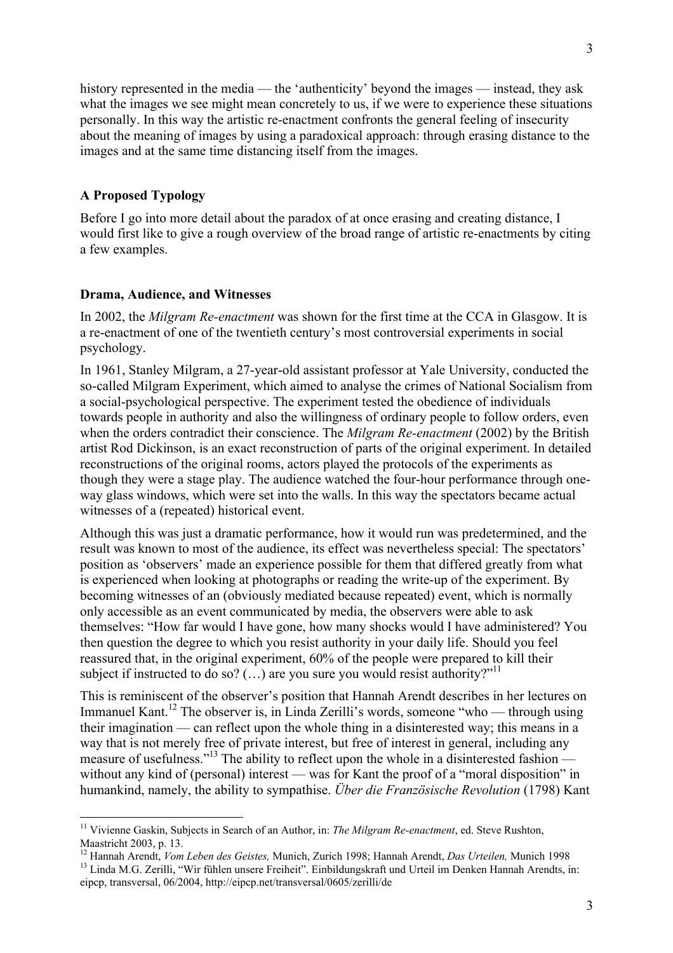history represented in the media — the 'authenticity' beyond the images — instead, they ask what the images we see might mean concretely to us, if we were to experience these situations personally. In this way the artistic re-enactment confronts the general feeling of insecurity about the meaning of images by using a paradoxical approach: through erasing distance to the images and at the same time distancing itself from the images.

## **A Proposed Typology**

Before I go into more detail about the paradox of at once erasing and creating distance, I would first like to give a rough overview of the broad range of artistic re-enactments by citing a few examples.

### **Drama, Audience, and Witnesses**

In 2002, the *Milgram Re-enactment* was shown for the first time at the CCA in Glasgow. It is a re-enactment of one of the twentieth century's most controversial experiments in social psychology.

In 1961, Stanley Milgram, a 27-year-old assistant professor at Yale University, conducted the so-called Milgram Experiment, which aimed to analyse the crimes of National Socialism from a social-psychological perspective. The experiment tested the obedience of individuals towards people in authority and also the willingness of ordinary people to follow orders, even when the orders contradict their conscience. The *Milgram Re-enactment* (2002) by the British artist Rod Dickinson, is an exact reconstruction of parts of the original experiment. In detailed reconstructions of the original rooms, actors played the protocols of the experiments as though they were a stage play. The audience watched the four-hour performance through oneway glass windows, which were set into the walls. In this way the spectators became actual witnesses of a (repeated) historical event.

Although this was just a dramatic performance, how it would run was predetermined, and the result was known to most of the audience, its effect was nevertheless special: The spectators' position as 'observers' made an experience possible for them that differed greatly from what is experienced when looking at photographs or reading the write-up of the experiment. By becoming witnesses of an (obviously mediated because repeated) event, which is normally only accessible as an event communicated by media, the observers were able to ask themselves: "How far would I have gone, how many shocks would I have administered? You then question the degree to which you resist authority in your daily life. Should you feel reassured that, in the original experiment, 60% of the people were prepared to kill their subject if instructed to do so?  $(...)$  are you sure you would resist authority?"<sup>11</sup>

This is reminiscent of the observer's position that Hannah Arendt describes in her lectures on Immanuel Kant.<sup>12</sup> The observer is, in Linda Zerilli's words, someone "who — through using their imagination — can reflect upon the whole thing in a disinterested way; this means in a way that is not merely free of private interest, but free of interest in general, including any measure of usefulness."<sup>13</sup> The ability to reflect upon the whole in a disinterested fashion without any kind of (personal) interest — was for Kant the proof of a "moral disposition" in humankind, namely, the ability to sympathise. *Über die Französische Revolution* (1798) Kant

 <sup>11</sup> Vivienne Gaskin, Subjects in Search of an Author, in: *The Milgram Re-enactment*, ed. Steve Rushton, Maastricht 2003, p. 13.

<sup>&</sup>lt;sup>12</sup> Hannah Arendt, *Vom Leben des Geistes, M*unich, Zurich 1998; Hannah Arendt, *Das Urteilen*, Munich 1998<br><sup>13</sup> Linde M.G. Zerilli, "Wir fühlen ungere Freiheit". Einhildungelreft und Urteil im Denken Hannah Arendte

<sup>&</sup>lt;sup>13</sup> Linda M.G. Zerilli, "Wir fühlen unsere Freiheit". Einbildungskraft und Urteil im Denken Hannah Arendts, in: eipcp, transversal, 06/2004, http://eipcp.net/transversal/0605/zerilli/de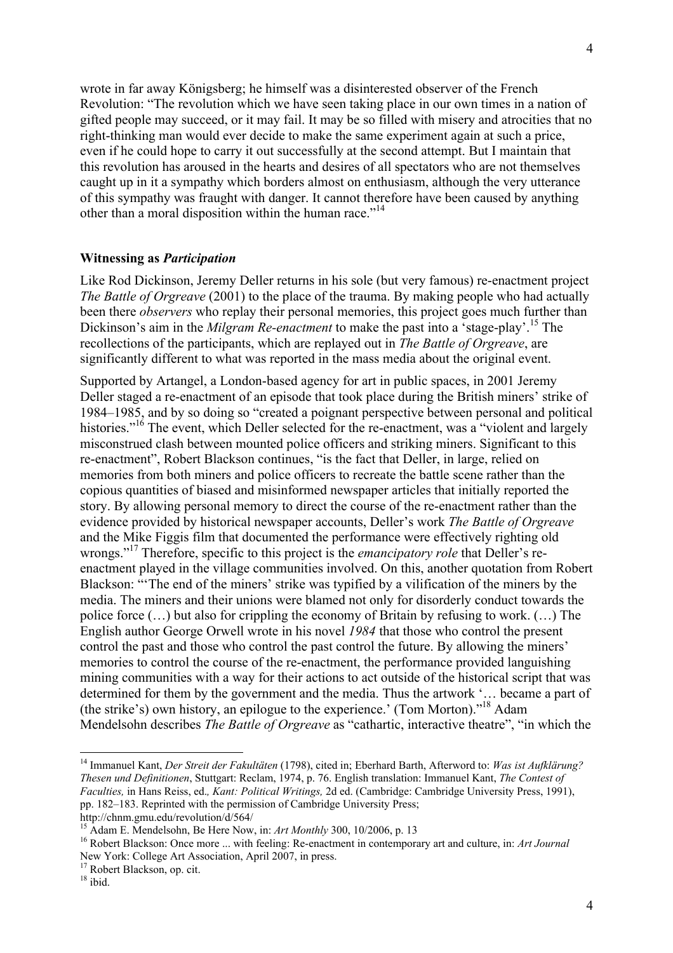wrote in far away Königsberg; he himself was a disinterested observer of the French Revolution: "The revolution which we have seen taking place in our own times in a nation of gifted people may succeed, or it may fail. It may be so filled with misery and atrocities that no right-thinking man would ever decide to make the same experiment again at such a price, even if he could hope to carry it out successfully at the second attempt. But I maintain that this revolution has aroused in the hearts and desires of all spectators who are not themselves caught up in it a sympathy which borders almost on enthusiasm, although the very utterance of this sympathy was fraught with danger. It cannot therefore have been caused by anything other than a moral disposition within the human race."<sup>14</sup>

### **Witnessing as** *Participation*

Like Rod Dickinson, Jeremy Deller returns in his sole (but very famous) re-enactment project *The Battle of Orgreave* (2001) to the place of the trauma. By making people who had actually been there *observers* who replay their personal memories, this project goes much further than Dickinson's aim in the *Milgram Re-enactment* to make the past into a 'stage-play'.<sup>15</sup> The recollections of the participants, which are replayed out in *The Battle of Orgreave*, are significantly different to what was reported in the mass media about the original event.

Supported by Artangel, a London-based agency for art in public spaces, in 2001 Jeremy Deller staged a re-enactment of an episode that took place during the British miners' strike of 1984–1985, and by so doing so "created a poignant perspective between personal and political histories."<sup>16</sup> The event, which Deller selected for the re-enactment, was a "violent and largely misconstrued clash between mounted police officers and striking miners. Significant to this re-enactment", Robert Blackson continues, "is the fact that Deller, in large, relied on memories from both miners and police officers to recreate the battle scene rather than the copious quantities of biased and misinformed newspaper articles that initially reported the story. By allowing personal memory to direct the course of the re-enactment rather than the evidence provided by historical newspaper accounts, Deller's work *The Battle of Orgreave* and the Mike Figgis film that documented the performance were effectively righting old wrongs."<sup>17</sup> Therefore, specific to this project is the *emancipatory role* that Deller's reenactment played in the village communities involved. On this, another quotation from Robert Blackson: "'The end of the miners' strike was typified by a vilification of the miners by the media. The miners and their unions were blamed not only for disorderly conduct towards the police force  $(\dots)$  but also for crippling the economy of Britain by refusing to work.  $(\dots)$  The English author George Orwell wrote in his novel *1984* that those who control the present control the past and those who control the past control the future. By allowing the miners' memories to control the course of the re-enactment, the performance provided languishing mining communities with a way for their actions to act outside of the historical script that was determined for them by the government and the media. Thus the artwork '… became a part of (the strike's) own history, an epilogue to the experience.' (Tom Morton)."18 Adam Mendelsohn describes *The Battle of Orgreave* as "cathartic, interactive theatre", "in which the

http://chnm.gmu.edu/revolution/d/564/

 <sup>14</sup> Immanuel Kant, *Der Streit der Fakultäten* (1798), cited in; Eberhard Barth, Afterword to: *Was ist Aufklärung? Thesen und Definitionen*, Stuttgart: Reclam, 1974, p. 76. English translation: Immanuel Kant, *The Contest of Faculties,* in Hans Reiss, ed.*, Kant: Political Writings,* 2d ed. (Cambridge: Cambridge University Press, 1991), pp. 182–183. Reprinted with the permission of Cambridge University Press;

<sup>&</sup>lt;sup>15</sup> Adam E. Mendelsohn, Be Here Now, in: *Art Monthly* 300, 10/2006, p. 13<br><sup>16</sup> Bobert Plaslason: Once more, with feeling: Be apostment in contemporary

<sup>&</sup>lt;sup>16</sup> Robert Blackson: Once more ... with feeling: Re-enactment in contemporary art and culture, in: *Art Journal* New York: College Art Association, April 2007, in press. 17 Robert Blackson, op. cit.

<sup>&</sup>lt;sup>18</sup> ibid.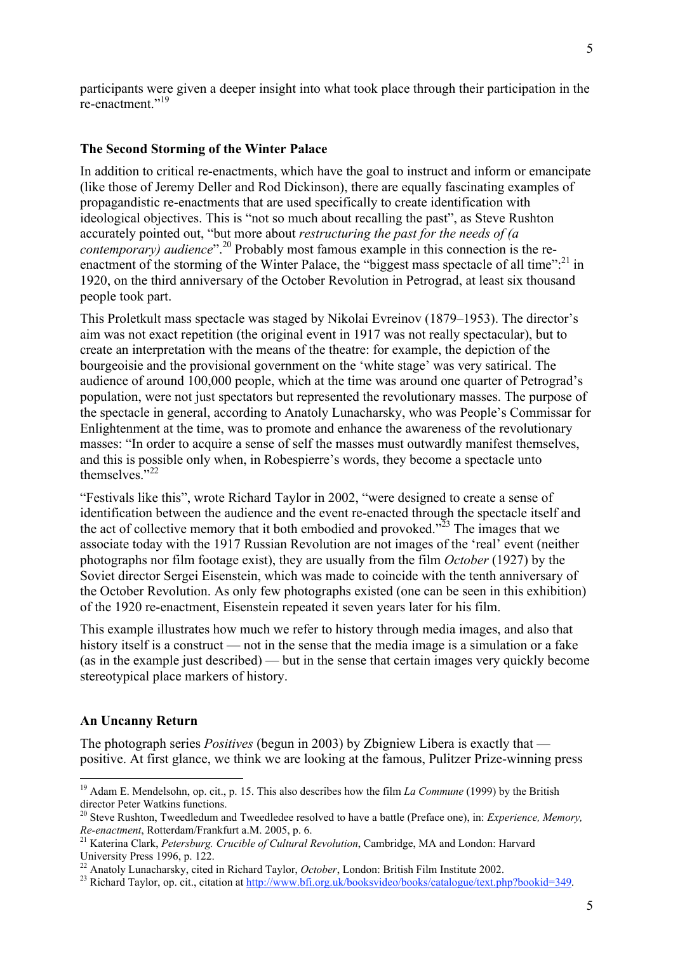participants were given a deeper insight into what took place through their participation in the re-enactment."<sup>19</sup>

#### **The Second Storming of the Winter Palace**

In addition to critical re-enactments, which have the goal to instruct and inform or emancipate (like those of Jeremy Deller and Rod Dickinson), there are equally fascinating examples of propagandistic re-enactments that are used specifically to create identification with ideological objectives. This is "not so much about recalling the past", as Steve Rushton accurately pointed out, "but more about *restructuring the past for the needs of (a contemporary) audience*".<sup>20</sup> Probably most famous example in this connection is the reenactment of the storming of the Winter Palace, the "biggest mass spectacle of all time":<sup>21</sup> in 1920, on the third anniversary of the October Revolution in Petrograd, at least six thousand people took part.

This Proletkult mass spectacle was staged by Nikolai Evreinov (1879–1953). The director's aim was not exact repetition (the original event in 1917 was not really spectacular), but to create an interpretation with the means of the theatre: for example, the depiction of the bourgeoisie and the provisional government on the 'white stage' was very satirical. The audience of around 100,000 people, which at the time was around one quarter of Petrograd's population, were not just spectators but represented the revolutionary masses. The purpose of the spectacle in general, according to Anatoly Lunacharsky, who was People's Commissar for Enlightenment at the time, was to promote and enhance the awareness of the revolutionary masses: "In order to acquire a sense of self the masses must outwardly manifest themselves, and this is possible only when, in Robespierre's words, they become a spectacle unto themselves."<sup>22</sup>

"Festivals like this", wrote Richard Taylor in 2002, "were designed to create a sense of identification between the audience and the event re-enacted through the spectacle itself and the act of collective memory that it both embodied and provoked.<sup> $2^{\overline{2}3}$ </sup> The images that we associate today with the 1917 Russian Revolution are not images of the 'real' event (neither photographs nor film footage exist), they are usually from the film *October* (1927) by the Soviet director Sergei Eisenstein, which was made to coincide with the tenth anniversary of the October Revolution. As only few photographs existed (one can be seen in this exhibition) of the 1920 re-enactment, Eisenstein repeated it seven years later for his film.

This example illustrates how much we refer to history through media images, and also that history itself is a construct — not in the sense that the media image is a simulation or a fake (as in the example just described) — but in the sense that certain images very quickly become stereotypical place markers of history.

#### **An Uncanny Return**

The photograph series *Positives* (begun in 2003) by Zbigniew Libera is exactly that positive. At first glance, we think we are looking at the famous, Pulitzer Prize-winning press

<sup>&</sup>lt;sup>19</sup> Adam E. Mendelsohn, op. cit., p. 15. This also describes how the film *La Commune* (1999) by the British director Peter Watkins functions.

<sup>20</sup> Steve Rushton, Tweedledum and Tweedledee resolved to have a battle (Preface one), in: *Experience, Memory, Re-enactment*, Rotterdam/Frankfurt a.M. 2005, p. 6. <sup>21</sup> Katerina Clark, *Petersburg. Crucible of Cultural Revolution*, Cambridge, MA and London: Harvard

University Press 1996, p. 122.<br><sup>22</sup> Anatoly Lunacharsky, cited in Richard Taylor, *October*, London: British Film Institute 2002.<br><sup>23</sup> Bishard Taylor, an sit, sitetian at http://www.http.graph/hashajdao/hasha/satalogue/tay

<sup>&</sup>lt;sup>23</sup> Richard Taylor, op. cit., citation at http://www.bfi.org.uk/booksvideo/books/catalogue/text.php?bookid=349.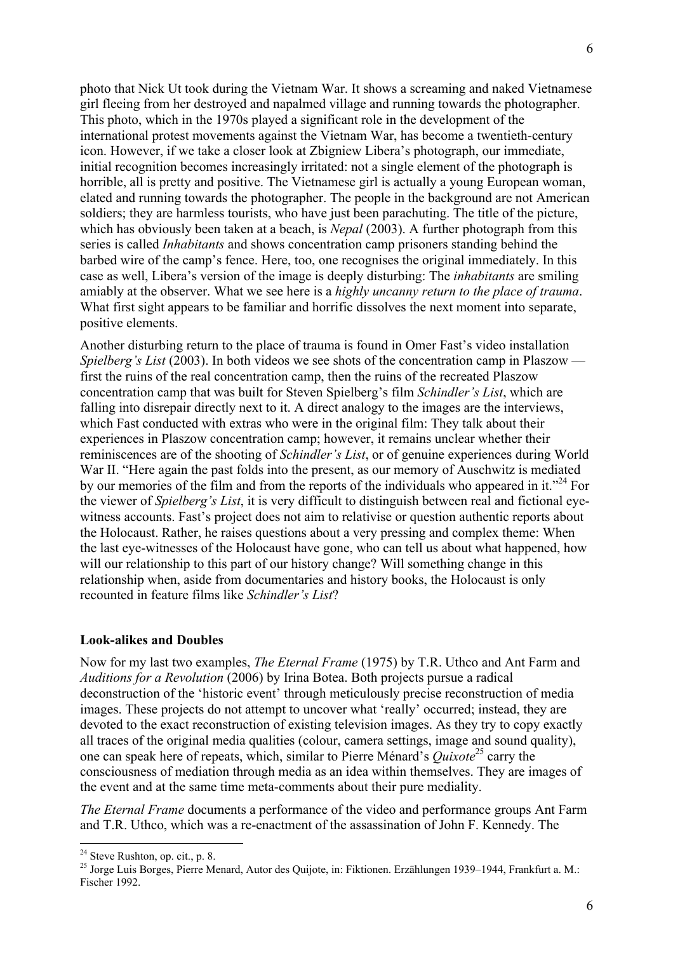photo that Nick Ut took during the Vietnam War. It shows a screaming and naked Vietnamese girl fleeing from her destroyed and napalmed village and running towards the photographer. This photo, which in the 1970s played a significant role in the development of the international protest movements against the Vietnam War, has become a twentieth-century icon. However, if we take a closer look at Zbigniew Libera's photograph, our immediate, initial recognition becomes increasingly irritated: not a single element of the photograph is horrible, all is pretty and positive. The Vietnamese girl is actually a young European woman, elated and running towards the photographer. The people in the background are not American soldiers; they are harmless tourists, who have just been parachuting. The title of the picture, which has obviously been taken at a beach, is *Nepal* (2003). A further photograph from this series is called *Inhabitants* and shows concentration camp prisoners standing behind the barbed wire of the camp's fence. Here, too, one recognises the original immediately. In this case as well, Libera's version of the image is deeply disturbing: The *inhabitants* are smiling amiably at the observer. What we see here is a *highly uncanny return to the place of trauma*. What first sight appears to be familiar and horrific dissolves the next moment into separate, positive elements.

Another disturbing return to the place of trauma is found in Omer Fast's video installation *Spielberg's List* (2003). In both videos we see shots of the concentration camp in Plaszow first the ruins of the real concentration camp, then the ruins of the recreated Plaszow concentration camp that was built for Steven Spielberg's film *Schindler's List*, which are falling into disrepair directly next to it. A direct analogy to the images are the interviews, which Fast conducted with extras who were in the original film: They talk about their experiences in Plaszow concentration camp; however, it remains unclear whether their reminiscences are of the shooting of *Schindler's List*, or of genuine experiences during World War II. "Here again the past folds into the present, as our memory of Auschwitz is mediated by our memories of the film and from the reports of the individuals who appeared in it."<sup>24</sup> For the viewer of *Spielberg's List*, it is very difficult to distinguish between real and fictional eyewitness accounts. Fast's project does not aim to relativise or question authentic reports about the Holocaust. Rather, he raises questions about a very pressing and complex theme: When the last eye-witnesses of the Holocaust have gone, who can tell us about what happened, how will our relationship to this part of our history change? Will something change in this relationship when, aside from documentaries and history books, the Holocaust is only recounted in feature films like *Schindler's List*?

#### **Look-alikes and Doubles**

Now for my last two examples, *The Eternal Frame* (1975) by T.R. Uthco and Ant Farm and *Auditions for a Revolution* (2006) by Irina Botea. Both projects pursue a radical deconstruction of the 'historic event' through meticulously precise reconstruction of media images. These projects do not attempt to uncover what 'really' occurred; instead, they are devoted to the exact reconstruction of existing television images. As they try to copy exactly all traces of the original media qualities (colour, camera settings, image and sound quality), one can speak here of repeats, which, similar to Pierre Ménard's *Quixote<sup>25</sup>* carry the consciousness of mediation through media as an idea within themselves. They are images of the event and at the same time meta-comments about their pure mediality.

*The Eternal Frame* documents a performance of the video and performance groups Ant Farm and T.R. Uthco, which was a re-enactment of the assassination of John F. Kennedy. The

<sup>&</sup>lt;sup>24</sup> Steve Rushton, op. cit., p. 8.

<sup>&</sup>lt;sup>25</sup> Jorge Luis Borges, Pierre Menard, Autor des Quijote, in: Fiktionen. Erzählungen 1939–1944, Frankfurt a. M.: Fischer 1992.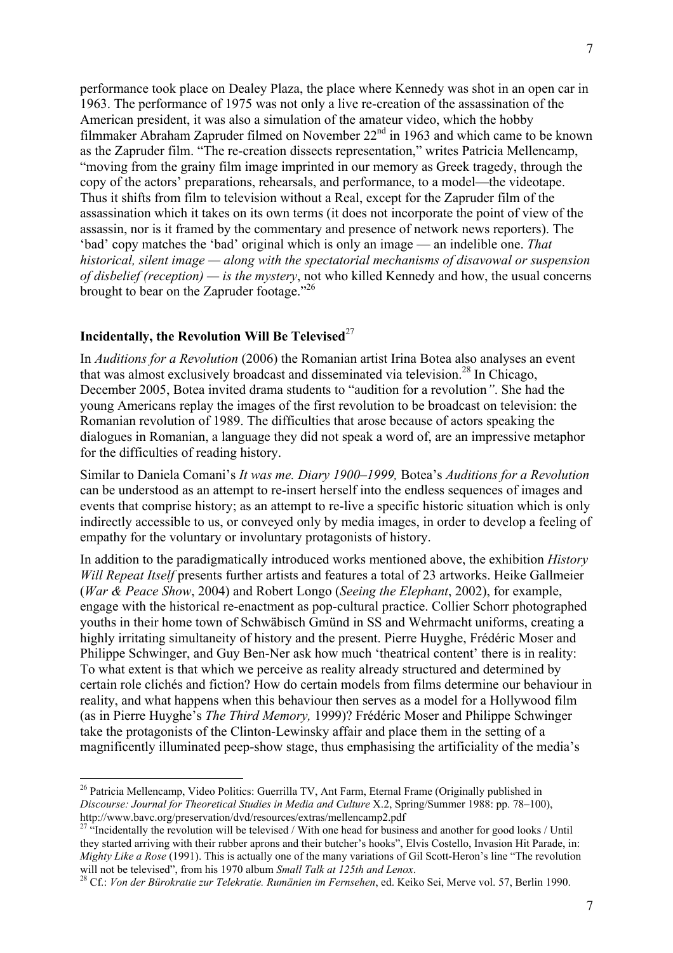performance took place on Dealey Plaza, the place where Kennedy was shot in an open car in 1963. The performance of 1975 was not only a live re-creation of the assassination of the American president, it was also a simulation of the amateur video, which the hobby filmmaker Abraham Zapruder filmed on November 22nd in 1963 and which came to be known as the Zapruder film. "The re-creation dissects representation," writes Patricia Mellencamp, "moving from the grainy film image imprinted in our memory as Greek tragedy, through the copy of the actors' preparations, rehearsals, and performance, to a model—the videotape. Thus it shifts from film to television without a Real, except for the Zapruder film of the assassination which it takes on its own terms (it does not incorporate the point of view of the assassin, nor is it framed by the commentary and presence of network news reporters). The 'bad' copy matches the 'bad' original which is only an image — an indelible one. *That historical, silent image — along with the spectatorial mechanisms of disavowal or suspension of disbelief (reception) — is the mystery*, not who killed Kennedy and how, the usual concerns brought to bear on the Zapruder footage."<sup>26</sup>

# **Incidentally, the Revolution Will Be Televised**<sup>27</sup>

In *Auditions for a Revolution* (2006) the Romanian artist Irina Botea also analyses an event that was almost exclusively broadcast and disseminated via television.<sup>28</sup> In Chicago, December 2005, Botea invited drama students to "audition for a revolution*"*. She had the young Americans replay the images of the first revolution to be broadcast on television: the Romanian revolution of 1989. The difficulties that arose because of actors speaking the dialogues in Romanian, a language they did not speak a word of, are an impressive metaphor for the difficulties of reading history.

Similar to Daniela Comani's *It was me. Diary 1900–1999,* Botea's *Auditions for a Revolution* can be understood as an attempt to re-insert herself into the endless sequences of images and events that comprise history; as an attempt to re-live a specific historic situation which is only indirectly accessible to us, or conveyed only by media images, in order to develop a feeling of empathy for the voluntary or involuntary protagonists of history.

In addition to the paradigmatically introduced works mentioned above, the exhibition *History Will Repeat Itself* presents further artists and features a total of 23 artworks. Heike Gallmeier (*War & Peace Show*, 2004) and Robert Longo (*Seeing the Elephant*, 2002), for example, engage with the historical re-enactment as pop-cultural practice. Collier Schorr photographed youths in their home town of Schwäbisch Gmünd in SS and Wehrmacht uniforms, creating a highly irritating simultaneity of history and the present. Pierre Huyghe, Frédéric Moser and Philippe Schwinger, and Guy Ben-Ner ask how much 'theatrical content' there is in reality: To what extent is that which we perceive as reality already structured and determined by certain role clichés and fiction? How do certain models from films determine our behaviour in reality, and what happens when this behaviour then serves as a model for a Hollywood film (as in Pierre Huyghe's *The Third Memory,* 1999)? Frédéric Moser and Philippe Schwinger take the protagonists of the Clinton-Lewinsky affair and place them in the setting of a magnificently illuminated peep-show stage, thus emphasising the artificiality of the media's

<sup>&</sup>lt;sup>26</sup> Patricia Mellencamp, Video Politics: Guerrilla TV, Ant Farm, Eternal Frame (Originally published in *Discourse: Journal for Theoretical Studies in Media and Culture* X.2, Spring/Summer 1988: pp. 78–100), http://www.bavc.org/preservation/dvd/resources/extras/mellencamp2.pdf

<sup>&</sup>lt;sup>27 "</sup>Incidentally the revolution will be televised / With one head for business and another for good looks / Until they started arriving with their rubber aprons and their butcher's hooks", Elvis Costello, Invasion Hit Parade, in: *Mighty Like a Rose* (1991). This is actually one of the many variations of Gil Scott-Heron's line "The revolution will not be televised", from his 1970 album *Small Talk at 125th and Lenox*.

Cf.: *Von der Bürokratie zur Telekratie. Rumänien im Fernsehen*, ed. Keiko Sei, Merve vol. 57, Berlin 1990.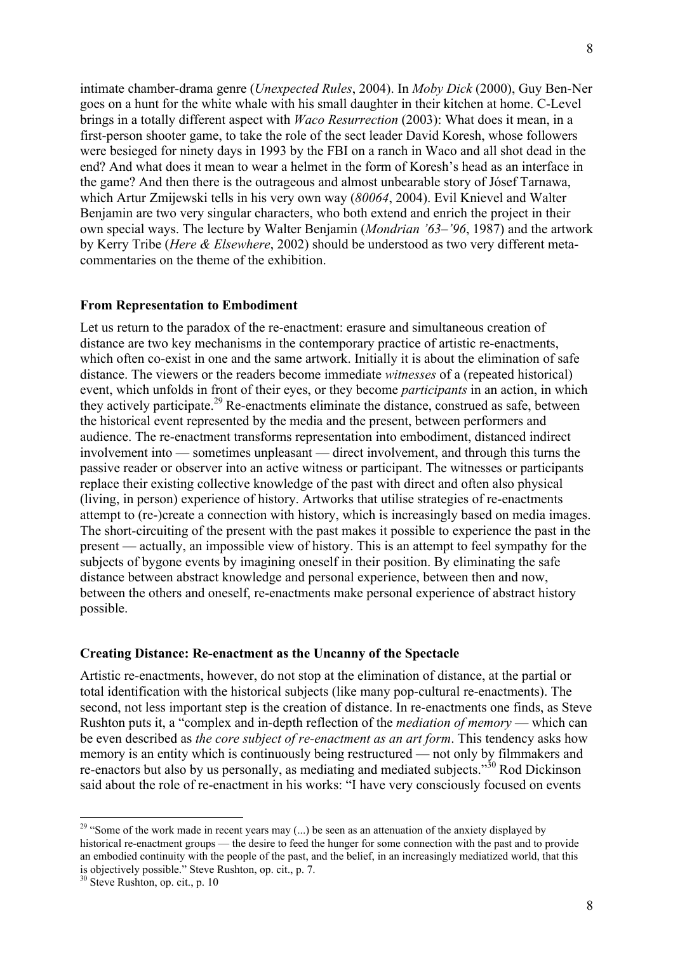intimate chamber-drama genre (*Unexpected Rules*, 2004). In *Moby Dick* (2000), Guy Ben-Ner goes on a hunt for the white whale with his small daughter in their kitchen at home. C-Level brings in a totally different aspect with *Waco Resurrection* (2003): What does it mean, in a first-person shooter game, to take the role of the sect leader David Koresh, whose followers were besieged for ninety days in 1993 by the FBI on a ranch in Waco and all shot dead in the end? And what does it mean to wear a helmet in the form of Koresh's head as an interface in the game? And then there is the outrageous and almost unbearable story of Jósef Tarnawa, which Artur Zmijewski tells in his very own way (*80064*, 2004). Evil Knievel and Walter Benjamin are two very singular characters, who both extend and enrich the project in their own special ways. The lecture by Walter Benjamin (*Mondrian '63–'96*, 1987) and the artwork by Kerry Tribe (*Here & Elsewhere*, 2002) should be understood as two very different metacommentaries on the theme of the exhibition.

### **From Representation to Embodiment**

Let us return to the paradox of the re-enactment: erasure and simultaneous creation of distance are two key mechanisms in the contemporary practice of artistic re-enactments, which often co-exist in one and the same artwork. Initially it is about the elimination of safe distance. The viewers or the readers become immediate *witnesses* of a (repeated historical) event, which unfolds in front of their eyes, or they become *participants* in an action, in which they actively participate.<sup>29</sup> Re-enactments eliminate the distance, construed as safe, between the historical event represented by the media and the present, between performers and audience. The re-enactment transforms representation into embodiment, distanced indirect involvement into — sometimes unpleasant — direct involvement, and through this turns the passive reader or observer into an active witness or participant. The witnesses or participants replace their existing collective knowledge of the past with direct and often also physical (living, in person) experience of history. Artworks that utilise strategies of re-enactments attempt to (re-)create a connection with history, which is increasingly based on media images. The short-circuiting of the present with the past makes it possible to experience the past in the present — actually, an impossible view of history. This is an attempt to feel sympathy for the subjects of bygone events by imagining oneself in their position. By eliminating the safe distance between abstract knowledge and personal experience, between then and now, between the others and oneself, re-enactments make personal experience of abstract history possible.

### **Creating Distance: Re-enactment as the Uncanny of the Spectacle**

Artistic re-enactments, however, do not stop at the elimination of distance, at the partial or total identification with the historical subjects (like many pop-cultural re-enactments). The second, not less important step is the creation of distance. In re-enactments one finds, as Steve Rushton puts it, a "complex and in-depth reflection of the *mediation of memory* — which can be even described as *the core subject of re-enactment as an art form*. This tendency asks how memory is an entity which is continuously being restructured — not only by filmmakers and re-enactors but also by us personally, as mediating and mediated subjects." $30$  Rod Dickinson said about the role of re-enactment in his works: "I have very consciously focused on events

<sup>&</sup>lt;sup>29</sup> "Some of the work made in recent years may  $(...)$  be seen as an attenuation of the anxiety displayed by historical re-enactment groups — the desire to feed the hunger for some connection with the past and to provide an embodied continuity with the people of the past, and the belief, in an increasingly mediatized world, that this is objectively possible." Steve Rushton, op. cit., p. 7.

<sup>30</sup> Steve Rushton, op. cit., p. 10